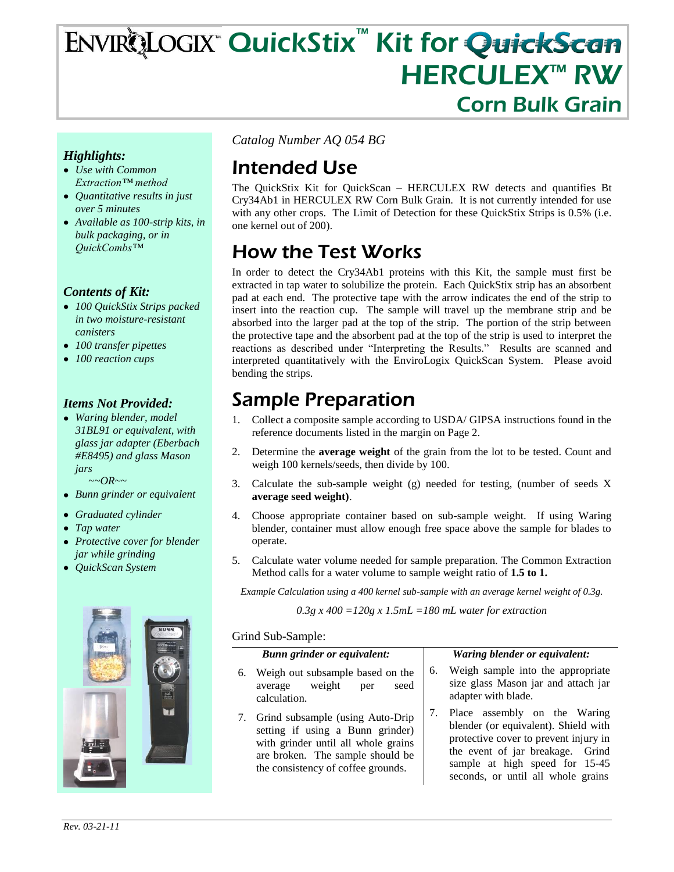# ENVIRQLOGIX™ QuickStix™ Kit for QuickScan **HERCULEX™ RW** Corn Bulk Grain

### *Highlights:*

- *Use with Common Extraction™ method*
- *Quantitative results in just over 5 minutes*
- *Available as 100-strip kits, in bulk packaging, or in QuickCombs™*

#### *Contents of Kit:*

- *100 QuickStix Strips packed in two moisture-resistant canisters*
- *100 transfer pipettes*
- *100 reaction cups*

#### *Items Not Provided:*

*Waring blender, model 31BL91 or equivalent, with glass jar adapter (Eberbach #E8495) and glass Mason jars*

 *~~OR~~*

- *Bunn grinder or equivalent*
- *Graduated cylinder*
- *Tap water*
- *Protective cover for blender jar while grinding*
- *QuickScan System*



*Catalog Number AQ 054 BG*

# Intended Use

The QuickStix Kit for QuickScan – HERCULEX RW detects and quantifies Bt Cry34Ab1 in HERCULEX RW Corn Bulk Grain. It is not currently intended for use with any other crops. The Limit of Detection for these QuickStix Strips is 0.5% (i.e. one kernel out of 200).

# How the Test Works

In order to detect the Cry34Ab1 proteins with this Kit, the sample must first be extracted in tap water to solubilize the protein. Each QuickStix strip has an absorbent pad at each end. The protective tape with the arrow indicates the end of the strip to insert into the reaction cup. The sample will travel up the membrane strip and be absorbed into the larger pad at the top of the strip. The portion of the strip between the protective tape and the absorbent pad at the top of the strip is used to interpret the reactions as described under "Interpreting the Results." Results are scanned and interpreted quantitatively with the EnviroLogix QuickScan System. Please avoid bending the strips.

## Sample Preparation

- 1. Collect a composite sample according to USDA/ GIPSA instructions found in the reference documents listed in the margin on Page 2.
- 2. Determine the **average weight** of the grain from the lot to be tested. Count and weigh 100 kernels/seeds, then divide by 100.
- 3. Calculate the sub-sample weight (g) needed for testing, (number of seeds X **average seed weight)**.
- 4. Choose appropriate container based on sub-sample weight. If using Waring blender, container must allow enough free space above the sample for blades to operate.
- 5. Calculate water volume needed for sample preparation. The Common Extraction Method calls for a water volume to sample weight ratio of **1.5 to 1.**

*Example Calculation using a 400 kernel sub-sample with an average kernel weight of 0.3g.*

*0.3g x 400 =120g x 1.5mL =180 mL water for extraction*

#### Grind Sub-Sample:

|    | <b>Bunn grinder or equivalent:</b>                                                                                                                                                       |    | Waring blender or equivalent:                                                                                                                                                                                             |
|----|------------------------------------------------------------------------------------------------------------------------------------------------------------------------------------------|----|---------------------------------------------------------------------------------------------------------------------------------------------------------------------------------------------------------------------------|
| 6. | Weigh out subsample based on the<br>weight<br>average<br>seed<br>per<br>calculation.                                                                                                     | 6. | Weigh sample into the appropriate<br>size glass Mason jar and attach jar<br>adapter with blade.                                                                                                                           |
|    | 7. Grind subsample (using Auto-Drip<br>setting if using a Bunn grinder)<br>with grinder until all whole grains<br>are broken. The sample should be<br>the consistency of coffee grounds. | 7. | Place assembly on the Waring<br>blender (or equivalent). Shield with<br>protective cover to prevent injury in<br>the event of jar breakage. Grind<br>sample at high speed for 15-45<br>seconds, or until all whole grains |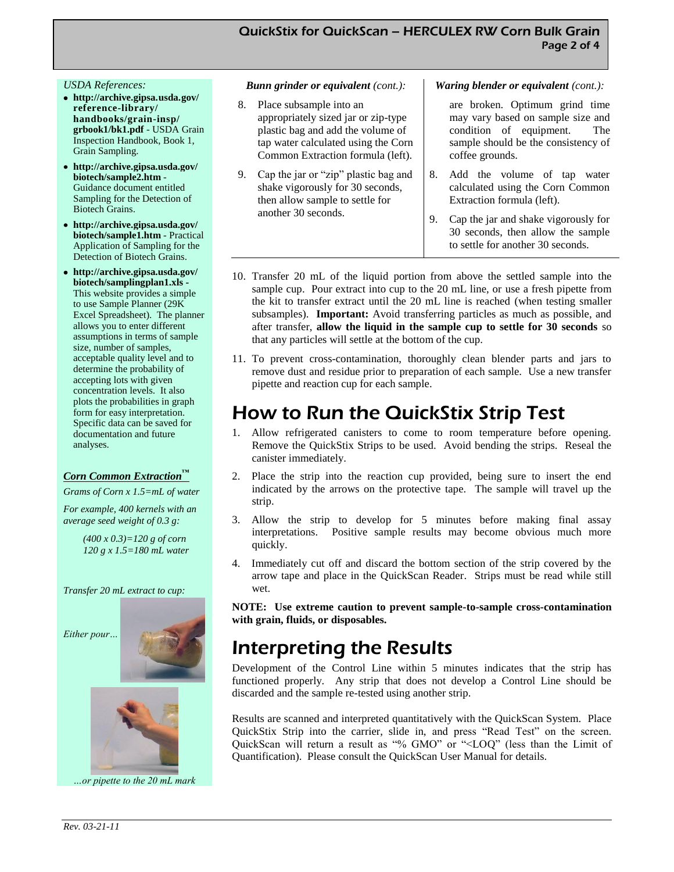#### *USDA References:*

- **http://archive.gipsa.usda.gov/ reference-library/ handbooks/grain-insp/ grbook1/bk1.pdf** - USDA Grain Inspection Handbook, Book 1, Grain Sampling.
- **http://archive.gipsa.usda.gov/ biotech/sample2.htm** - Guidance document entitled Sampling for the Detection of Biotech Grains.
- **http://archive.gipsa.usda.gov/ biotech/sample1.htm** - Practical Application of Sampling for the Detection of Biotech Grains.
- **http://archive.gipsa.usda.gov/ biotech/samplingplan1.xls -** This website provides a simple to use Sample Planner (29K Excel Spreadsheet). The planner allows you to enter different assumptions in terms of sample size, number of samples, acceptable quality level and to determine the probability of accepting lots with given concentration levels. It also plots the probabilities in graph form for easy interpretation. Specific data can be saved for documentation and future analyses.

#### *Corn Common Extraction™*

*Grams of Corn x 1.5=mL of water*

*For example, 400 kernels with an average seed weight of 0.3 g:*

> *(400 x 0.3)=120 g of corn 120 g x 1.5=180 mL water*

*Transfer 20 mL extract to cup:* 





*…or pipette to the 20 mL mark* 

#### *Bunn grinder or equivalent (cont.):*

- 8. Place subsample into an appropriately sized jar or zip-type plastic bag and add the volume of tap water calculated using the Corn Common Extraction formula (left).
- 9. Cap the jar or "zip" plastic bag and shake vigorously for 30 seconds, then allow sample to settle for another 30 seconds.

#### *Waring blender or equivalent (cont.):*

are broken. Optimum grind time may vary based on sample size and condition of equipment. The sample should be the consistency of coffee grounds.

- 8. Add the volume of tap water calculated using the Corn Common Extraction formula (left).
- 9. Cap the jar and shake vigorously for 30 seconds, then allow the sample to settle for another 30 seconds.
- 10. Transfer 20 mL of the liquid portion from above the settled sample into the sample cup. Pour extract into cup to the 20 mL line, or use a fresh pipette from the kit to transfer extract until the 20 mL line is reached (when testing smaller subsamples). **Important:** Avoid transferring particles as much as possible, and after transfer, **allow the liquid in the sample cup to settle for 30 seconds** so that any particles will settle at the bottom of the cup.
- 11. To prevent cross-contamination, thoroughly clean blender parts and jars to remove dust and residue prior to preparation of each sample. Use a new transfer pipette and reaction cup for each sample.

### How to Run the QuickStix Strip Test

- 1. Allow refrigerated canisters to come to room temperature before opening. Remove the QuickStix Strips to be used. Avoid bending the strips. Reseal the canister immediately.
- 2. Place the strip into the reaction cup provided, being sure to insert the end indicated by the arrows on the protective tape. The sample will travel up the strip.
- 3. Allow the strip to develop for 5 minutes before making final assay interpretations. Positive sample results may become obvious much more quickly.
- 4. Immediately cut off and discard the bottom section of the strip covered by the arrow tape and place in the QuickScan Reader. Strips must be read while still wet.

**NOTE: Use extreme caution to prevent sample-to-sample cross-contamination with grain, fluids, or disposables.**

### Interpreting the Results

Development of the Control Line within 5 minutes indicates that the strip has functioned properly. Any strip that does not develop a Control Line should be discarded and the sample re-tested using another strip.

Results are scanned and interpreted quantitatively with the QuickScan System. Place QuickStix Strip into the carrier, slide in, and press "Read Test" on the screen. QuickScan will return a result as "% GMO" or "<LOQ" (less than the Limit of Quantification). Please consult the QuickScan User Manual for details.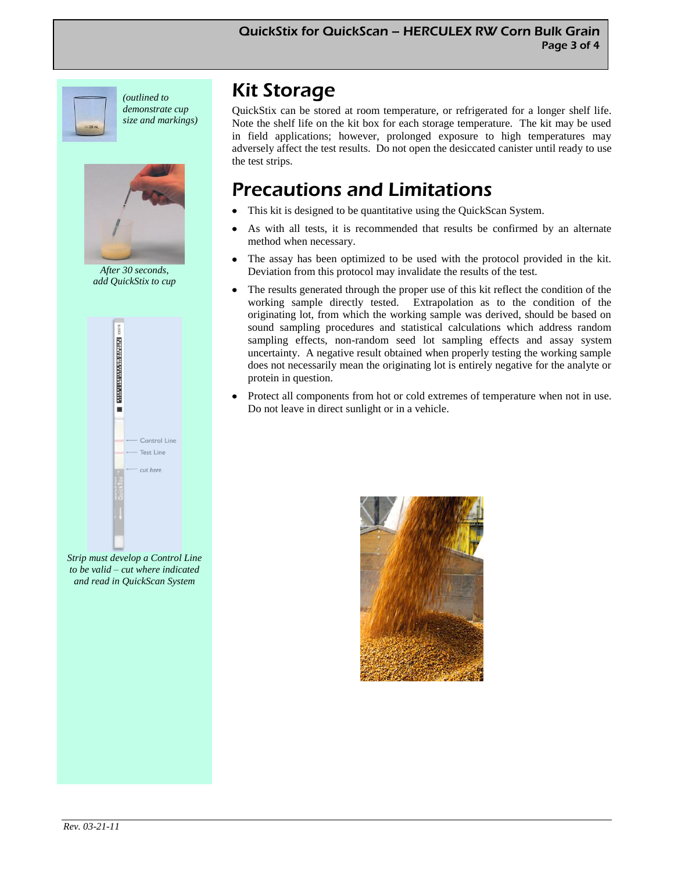

*(outlined to demonstrate cup size and markings)*



*After 30 seconds, add QuickStix to cup*



*Strip must develop a Control Line to be valid – cut where indicated and read in QuickScan System* 

### Kit Storage

QuickStix can be stored at room temperature, or refrigerated for a longer shelf life. Note the shelf life on the kit box for each storage temperature. The kit may be used in field applications; however, prolonged exposure to high temperatures may adversely affect the test results. Do not open the desiccated canister until ready to use the test strips.

## Precautions and Limitations

- This kit is designed to be quantitative using the QuickScan System.
- As with all tests, it is recommended that results be confirmed by an alternate  $\bullet$ method when necessary.
- The assay has been optimized to be used with the protocol provided in the kit. Deviation from this protocol may invalidate the results of the test.
- The results generated through the proper use of this kit reflect the condition of the working sample directly tested. Extrapolation as to the condition of the originating lot, from which the working sample was derived, should be based on sound sampling procedures and statistical calculations which address random sampling effects, non-random seed lot sampling effects and assay system uncertainty. A negative result obtained when properly testing the working sample does not necessarily mean the originating lot is entirely negative for the analyte or protein in question.
- Protect all components from hot or cold extremes of temperature when not in use. Do not leave in direct sunlight or in a vehicle.